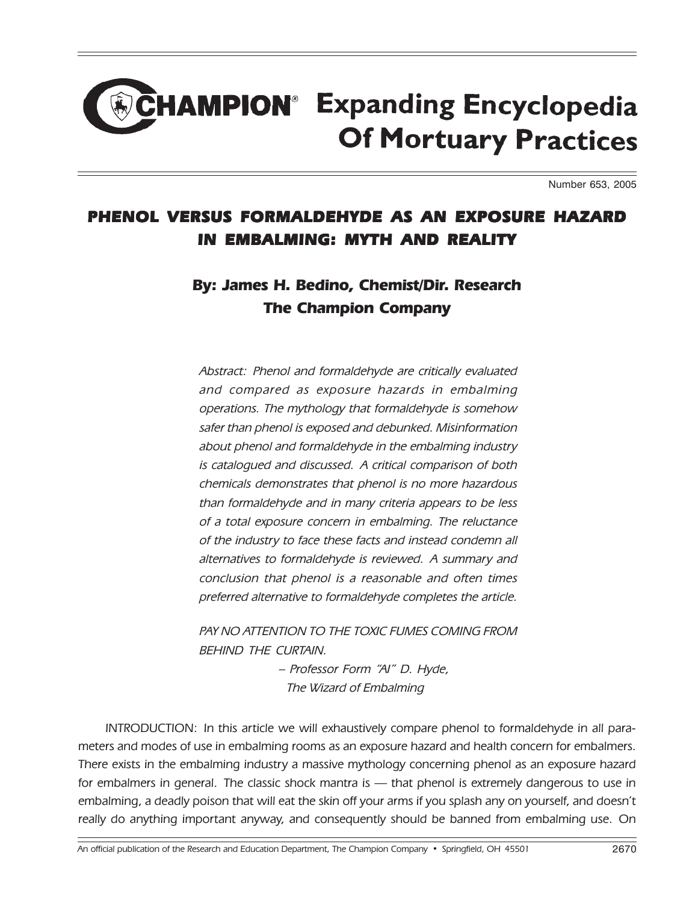# **CHAMPION<sup>®</sup> Expanding Encyclopedia Of Mortuary Practices**

Number 653, 2005

## PHENOL VERSUS FORMALDEHYDE AS AN EXPOSURE HAZARD IN EMBALMING: MYTH AND REALITY

# By: James H. Bedino, Chemist/Dir. Research The Champion Company

Abstract: Phenol and formaldehyde are critically evaluated and compared as exposure hazards in embalming operations. The mythology that formaldehyde is somehow safer than phenol is exposed and debunked. Misinformation about phenol and formaldehyde in the embalming industry is catalogued and discussed. A critical comparison of both chemicals demonstrates that phenol is no more hazardous than formaldehyde and in many criteria appears to be less of a total exposure concern in embalming. The reluctance of the industry to face these facts and instead condemn all alternatives to formaldehyde is reviewed. A summary and conclusion that phenol is a reasonable and often times preferred alternative to formaldehyde completes the article.

PAY NO ATTENTION TO THE TOXIC FUMES COMING FROM BEHIND THE CURTAIN.

> – Professor Form "AI" D. Hyde, The Wizard of Embalming

INTRODUCTION: In this article we will exhaustively compare phenol to formaldehyde in all parameters and modes of use in embalming rooms as an exposure hazard and health concern for embalmers. There exists in the embalming industry a massive mythology concerning phenol as an exposure hazard for embalmers in general. The classic shock mantra is - that phenol is extremely dangerous to use in embalming, a deadly poison that will eat the skin off your arms if you splash any on yourself, and doesn't really do anything important anyway, and consequently should be banned from embalming use. On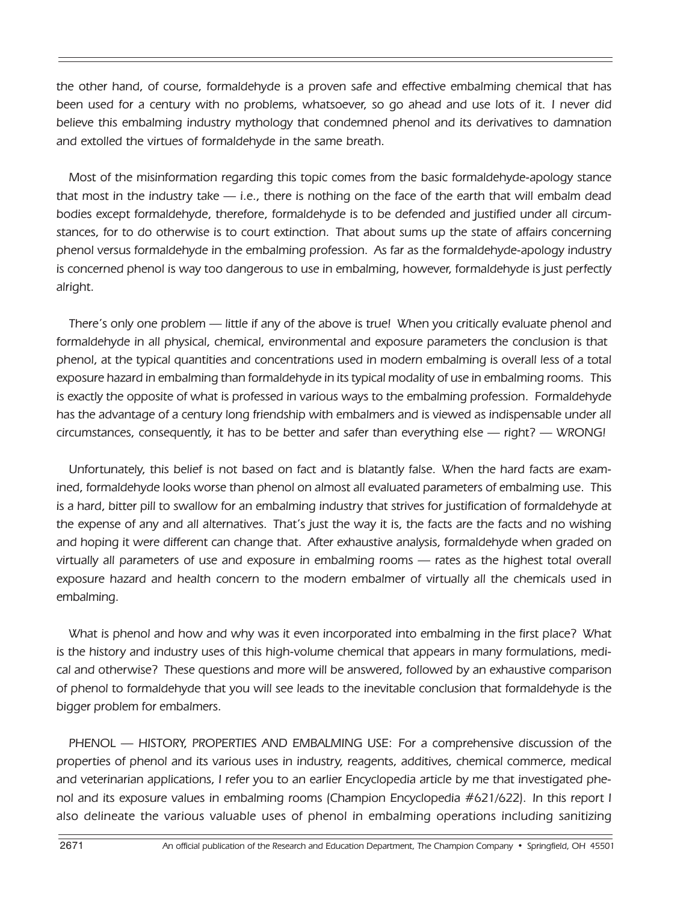the other hand, of course, formaldehyde is a proven safe and effective embalming chemical that has been used for a century with no problems, whatsoever, so go ahead and use lots of it. I never did believe this embalming industry mythology that condemned phenol and its derivatives to damnation and extolled the virtues of formaldehyde in the same breath.

Most of the misinformation regarding this topic comes from the basic formaldehyde-apology stance that most in the industry take — i.e., there is nothing on the face of the earth that will embalm dead bodies except formaldehyde, therefore, formaldehyde is to be defended and justified under all circumstances, for to do otherwise is to court extinction. That about sums up the state of affairs concerning phenol versus formaldehyde in the embalming profession. As far as the formaldehyde-apology industry is concerned phenol is way too dangerous to use in embalming, however, formaldehyde is just perfectly alright.

There's only one problem — little if any of the above is true! When you critically evaluate phenol and formaldehyde in all physical, chemical, environmental and exposure parameters the conclusion is that phenol, at the typical quantities and concentrations used in modern embalming is overall less of a total exposure hazard in embalming than formaldehyde in its typical modality of use in embalming rooms. This is exactly the opposite of what is professed in various ways to the embalming profession. Formaldehyde has the advantage of a century long friendship with embalmers and is viewed as indispensable under all circumstances, consequently, it has to be better and safer than everything else — right? — WRONG!

Unfortunately, this belief is not based on fact and is blatantly false. When the hard facts are examined, formaldehyde looks worse than phenol on almost all evaluated parameters of embalming use. This is a hard, bitter pill to swallow for an embalming industry that strives for justification of formaldehyde at the expense of any and all alternatives. That's just the way it is, the facts are the facts and no wishing and hoping it were different can change that. After exhaustive analysis, formaldehyde when graded on virtually all parameters of use and exposure in embalming rooms — rates as the highest total overall exposure hazard and health concern to the modern embalmer of virtually all the chemicals used in embalming.

What is phenol and how and why was it even incorporated into embalming in the first place? What is the history and industry uses of this high-volume chemical that appears in many formulations, medical and otherwise? These questions and more will be answered, followed by an exhaustive comparison of phenol to formaldehyde that you will see leads to the inevitable conclusion that formaldehyde is the bigger problem for embalmers.

PHENOL — HISTORY, PROPERTIES AND EMBALMING USE: For a comprehensive discussion of the properties of phenol and its various uses in industry, reagents, additives, chemical commerce, medical and veterinarian applications, I refer you to an earlier Encyclopedia article by me that investigated phenol and its exposure values in embalming rooms (Champion Encyclopedia #621/622). In this report I also delineate the various valuable uses of phenol in embalming operations including sanitizing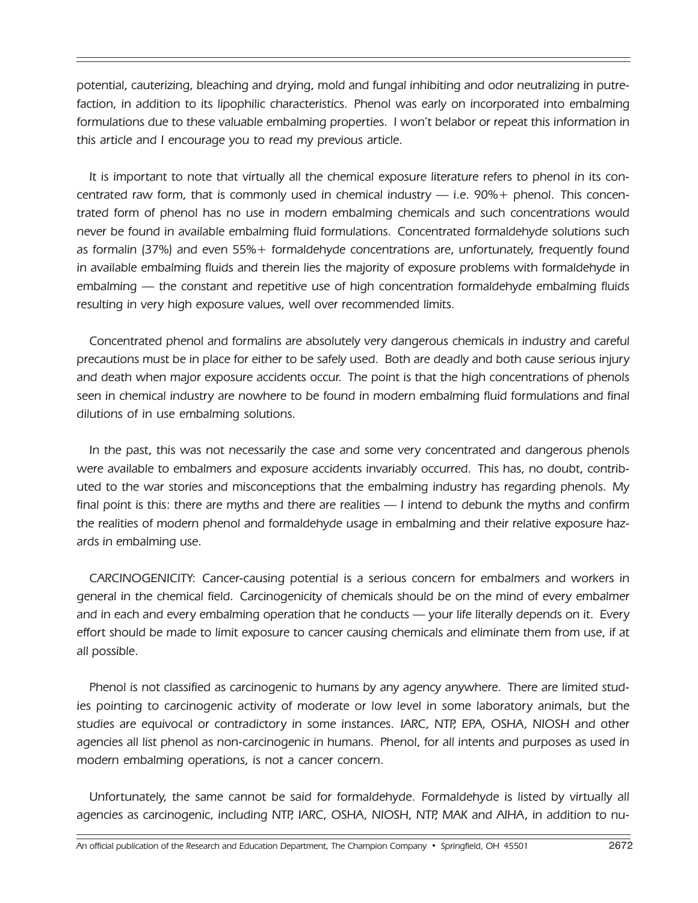potential, cauterizing, bleaching and drying, mold and fungal inhibiting and odor neutralizing in putrefaction, in addition to its lipophilic characteristics. Phenol was early on incorporated into embalming formulations due to these valuable embalming properties. I won't belabor or repeat this information in this article and I encourage you to read my previous article.

It is important to note that virtually all the chemical exposure literature refers to phenol in its concentrated raw form, that is commonly used in chemical industry  $-$  i.e.  $90\% +$  phenol. This concentrated form of phenol has no use in modern embalming chemicals and such concentrations would never be found in available embalming fluid formulations. Concentrated formaldehyde solutions such as formalin (37%) and even 55%+ formaldehyde concentrations are, unfortunately, frequently found in available embalming fluids and therein lies the majority of exposure problems with formaldehyde in embalming — the constant and repetitive use of high concentration formaldehyde embalming fluids resulting in very high exposure values, well over recommended limits.

Concentrated phenol and formalins are absolutely very dangerous chemicals in industry and careful precautions must be in place for either to be safely used. Both are deadly and both cause serious injury and death when major exposure accidents occur. The point is that the high concentrations of phenols seen in chemical industry are nowhere to be found in modern embalming fluid formulations and final dilutions of in use embalming solutions.

In the past, this was not necessarily the case and some very concentrated and dangerous phenols were available to embalmers and exposure accidents invariably occurred. This has, no doubt, contributed to the war stories and misconceptions that the embalming industry has regarding phenols. My final point is this: there are myths and there are realities — I intend to debunk the myths and confirm the realities of modern phenol and formaldehyde usage in embalming and their relative exposure hazards in embalming use.

CARCINOGENICITY: Cancer-causing potential is a serious concern for embalmers and workers in general in the chemical field. Carcinogenicity of chemicals should be on the mind of every embalmer and in each and every embalming operation that he conducts — your life literally depends on it. Every effort should be made to limit exposure to cancer causing chemicals and eliminate them from use, if at all possible.

Phenol is not classified as carcinogenic to humans by any agency anywhere. There are limited studies pointing to carcinogenic activity of moderate or low level in some laboratory animals, but the studies are equivocal or contradictory in some instances. IARC, NTP, EPA, OSHA, NIOSH and other agencies all list phenol as non-carcinogenic in humans. Phenol, for all intents and purposes as used in modern embalming operations, is not a cancer concern.

Unfortunately, the same cannot be said for formaldehyde. Formaldehyde is listed by virtually all agencies as carcinogenic, including NTP, IARC, OSHA, NIOSH, NTP, MAK and AIHA, in addition to nu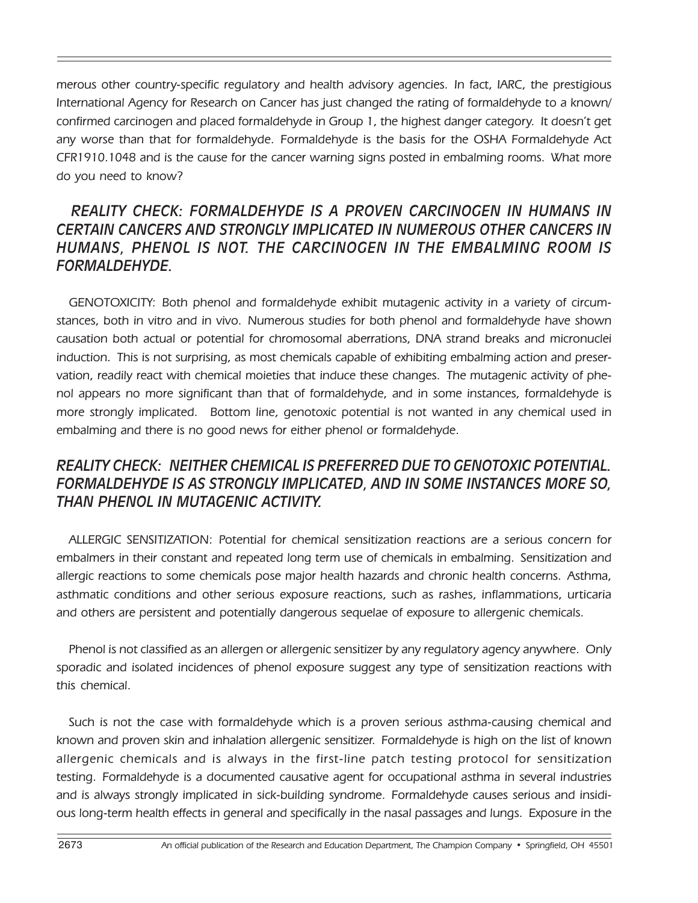merous other country-specific regulatory and health advisory agencies. In fact, IARC, the prestigious International Agency for Research on Cancer has just changed the rating of formaldehyde to a known/ confirmed carcinogen and placed formaldehyde in Group 1, the highest danger category. It doesn't get any worse than that for formaldehyde. Formaldehyde is the basis for the OSHA Formaldehyde Act CFR1910.1048 and is the cause for the cancer warning signs posted in embalming rooms. What more do you need to know?

#### *REALITY CHECK: FORMALDEHYDE IS A PROVEN CARCINOGEN IN HUMANS IN CERTAIN CANCERS AND STRONGLY IMPLICATED IN NUMEROUS OTHER CANCERS IN HUMANS, PHENOL IS NOT. THE CARCINOGEN IN THE EMBALMING ROOM IS FORMALDEHYDE.*

GENOTOXICITY: Both phenol and formaldehyde exhibit mutagenic activity in a variety of circumstances, both in vitro and in vivo. Numerous studies for both phenol and formaldehyde have shown causation both actual or potential for chromosomal aberrations, DNA strand breaks and micronuclei induction. This is not surprising, as most chemicals capable of exhibiting embalming action and preservation, readily react with chemical moieties that induce these changes. The mutagenic activity of phenol appears no more significant than that of formaldehyde, and in some instances, formaldehyde is more strongly implicated. Bottom line, genotoxic potential is not wanted in any chemical used in embalming and there is no good news for either phenol or formaldehyde.

#### *REALITY CHECK: NEITHER CHEMICAL IS PREFERRED DUE TO GENOTOXIC POTENTIAL. FORMALDEHYDE IS AS STRONGLY IMPLICATED, AND IN SOME INSTANCES MORE SO, THAN PHENOL IN MUTAGENIC ACTIVITY.*

ALLERGIC SENSITIZATION: Potential for chemical sensitization reactions are a serious concern for embalmers in their constant and repeated long term use of chemicals in embalming. Sensitization and allergic reactions to some chemicals pose major health hazards and chronic health concerns. Asthma, asthmatic conditions and other serious exposure reactions, such as rashes, inflammations, urticaria and others are persistent and potentially dangerous sequelae of exposure to allergenic chemicals.

Phenol is not classified as an allergen or allergenic sensitizer by any regulatory agency anywhere. Only sporadic and isolated incidences of phenol exposure suggest any type of sensitization reactions with this chemical.

Such is not the case with formaldehyde which is a proven serious asthma-causing chemical and known and proven skin and inhalation allergenic sensitizer. Formaldehyde is high on the list of known allergenic chemicals and is always in the first-line patch testing protocol for sensitization testing. Formaldehyde is a documented causative agent for occupational asthma in several industries and is always strongly implicated in sick-building syndrome. Formaldehyde causes serious and insidious long-term health effects in general and specifically in the nasal passages and lungs. Exposure in the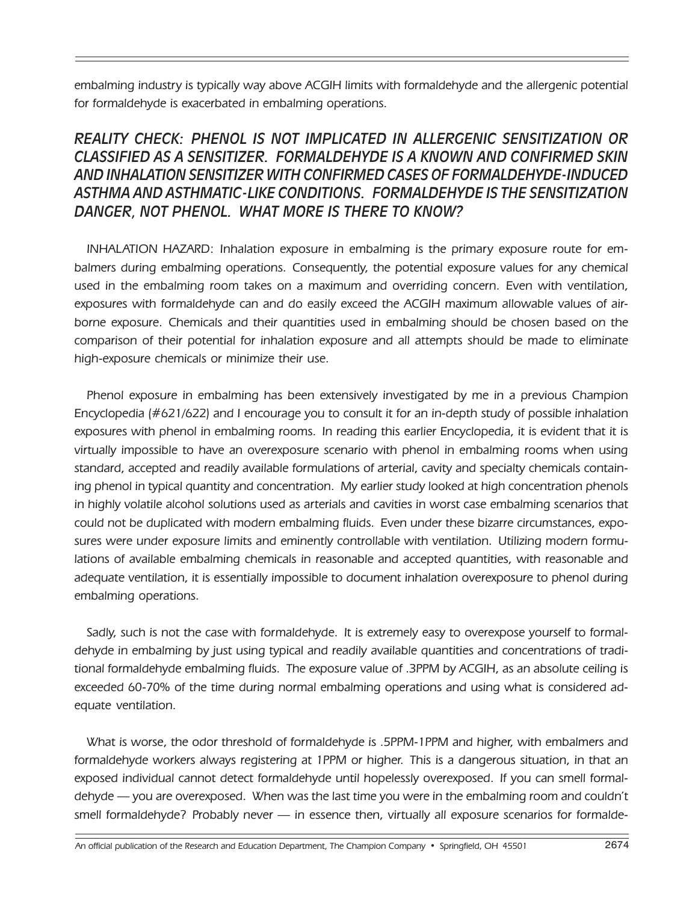embalming industry is typically way above ACGIH limits with formaldehyde and the allergenic potential for formaldehyde is exacerbated in embalming operations.

#### *REALITY CHECK: PHENOL IS NOT IMPLICATED IN ALLERGENIC SENSITIZATION OR CLASSIFIED AS A SENSITIZER. FORMALDEHYDE IS A KNOWN AND CONFIRMED SKIN AND INHALATION SENSITIZER WITH CONFIRMED CASES OF FORMALDEHYDE-INDUCED ASTHMA AND ASTHMATIC-LIKE CONDITIONS. FORMALDEHYDE IS THE SENSITIZATION DANGER, NOT PHENOL. WHAT MORE IS THERE TO KNOW?*

INHALATION HAZARD: Inhalation exposure in embalming is the primary exposure route for embalmers during embalming operations. Consequently, the potential exposure values for any chemical used in the embalming room takes on a maximum and overriding concern. Even with ventilation, exposures with formaldehyde can and do easily exceed the ACGIH maximum allowable values of airborne exposure. Chemicals and their quantities used in embalming should be chosen based on the comparison of their potential for inhalation exposure and all attempts should be made to eliminate high-exposure chemicals or minimize their use.

Phenol exposure in embalming has been extensively investigated by me in a previous Champion Encyclopedia (#621/622) and I encourage you to consult it for an in-depth study of possible inhalation exposures with phenol in embalming rooms. In reading this earlier Encyclopedia, it is evident that it is virtually impossible to have an overexposure scenario with phenol in embalming rooms when using standard, accepted and readily available formulations of arterial, cavity and specialty chemicals containing phenol in typical quantity and concentration. My earlier study looked at high concentration phenols in highly volatile alcohol solutions used as arterials and cavities in worst case embalming scenarios that could not be duplicated with modern embalming fluids. Even under these bizarre circumstances, exposures were under exposure limits and eminently controllable with ventilation. Utilizing modern formulations of available embalming chemicals in reasonable and accepted quantities, with reasonable and adequate ventilation, it is essentially impossible to document inhalation overexposure to phenol during embalming operations.

Sadly, such is not the case with formaldehyde. It is extremely easy to overexpose yourself to formaldehyde in embalming by just using typical and readily available quantities and concentrations of traditional formaldehyde embalming fluids. The exposure value of .3PPM by ACGIH, as an absolute ceiling is exceeded 60-70% of the time during normal embalming operations and using what is considered adequate ventilation.

What is worse, the odor threshold of formaldehyde is .5PPM-1PPM and higher, with embalmers and formaldehyde workers always registering at 1PPM or higher. This is a dangerous situation, in that an exposed individual cannot detect formaldehyde until hopelessly overexposed. If you can smell formaldehyde — you are overexposed. When was the last time you were in the embalming room and couldn't smell formaldehyde? Probably never — in essence then, virtually all exposure scenarios for formalde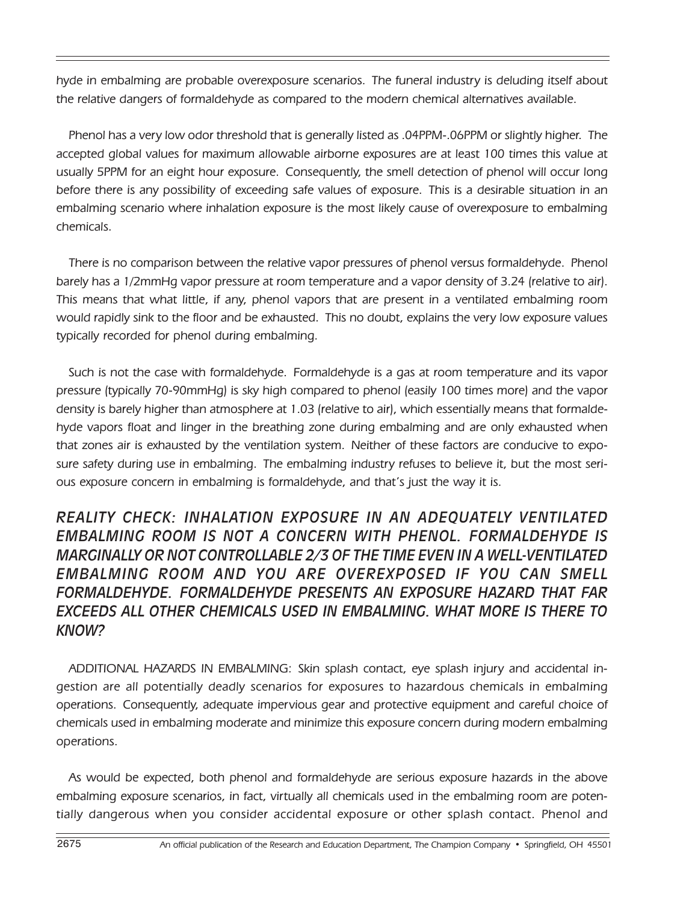hyde in embalming are probable overexposure scenarios. The funeral industry is deluding itself about the relative dangers of formaldehyde as compared to the modern chemical alternatives available.

Phenol has a very low odor threshold that is generally listed as .04PPM-.06PPM or slightly higher. The accepted global values for maximum allowable airborne exposures are at least 100 times this value at usually 5PPM for an eight hour exposure. Consequently, the smell detection of phenol will occur long before there is any possibility of exceeding safe values of exposure. This is a desirable situation in an embalming scenario where inhalation exposure is the most likely cause of overexposure to embalming chemicals.

There is no comparison between the relative vapor pressures of phenol versus formaldehyde. Phenol barely has a 1/2mmHg vapor pressure at room temperature and a vapor density of 3.24 (relative to air). This means that what little, if any, phenol vapors that are present in a ventilated embalming room would rapidly sink to the floor and be exhausted. This no doubt, explains the very low exposure values typically recorded for phenol during embalming.

Such is not the case with formaldehyde. Formaldehyde is a gas at room temperature and its vapor pressure (typically 70-90mmHg) is sky high compared to phenol (easily 100 times more) and the vapor density is barely higher than atmosphere at 1.03 (relative to air), which essentially means that formaldehyde vapors float and linger in the breathing zone during embalming and are only exhausted when that zones air is exhausted by the ventilation system. Neither of these factors are conducive to exposure safety during use in embalming. The embalming industry refuses to believe it, but the most serious exposure concern in embalming is formaldehyde, and that's just the way it is.

#### *REALITY CHECK: INHALATION EXPOSURE IN AN ADEQUATELY VENTILATED EMBALMING ROOM IS NOT A CONCERN WITH PHENOL. FORMALDEHYDE IS MARGINALLY OR NOT CONTROLLABLE 2/3 OF THE TIME EVEN IN A WELL-VENTILATED EMBALMING ROOM AND YOU ARE OVEREXPOSED IF YOU CAN SMELL FORMALDEHYDE. FORMALDEHYDE PRESENTS AN EXPOSURE HAZARD THAT FAR EXCEEDS ALL OTHER CHEMICALS USED IN EMBALMING. WHAT MORE IS THERE TO KNOW?*

ADDITIONAL HAZARDS IN EMBALMING: Skin splash contact, eye splash injury and accidental ingestion are all potentially deadly scenarios for exposures to hazardous chemicals in embalming operations. Consequently, adequate impervious gear and protective equipment and careful choice of chemicals used in embalming moderate and minimize this exposure concern during modern embalming operations.

As would be expected, both phenol and formaldehyde are serious exposure hazards in the above embalming exposure scenarios, in fact, virtually all chemicals used in the embalming room are potentially dangerous when you consider accidental exposure or other splash contact. Phenol and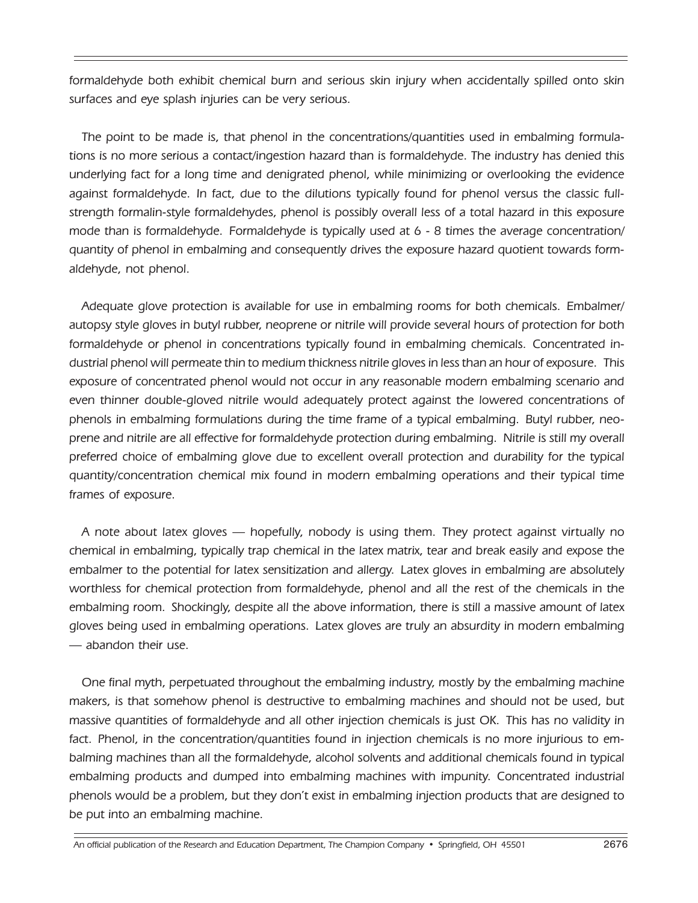formaldehyde both exhibit chemical burn and serious skin injury when accidentally spilled onto skin surfaces and eye splash injuries can be very serious.

The point to be made is, that phenol in the concentrations/quantities used in embalming formulations is no more serious a contact/ingestion hazard than is formaldehyde. The industry has denied this underlying fact for a long time and denigrated phenol, while minimizing or overlooking the evidence against formaldehyde. In fact, due to the dilutions typically found for phenol versus the classic fullstrength formalin-style formaldehydes, phenol is possibly overall less of a total hazard in this exposure mode than is formaldehyde. Formaldehyde is typically used at 6 - 8 times the average concentration/ quantity of phenol in embalming and consequently drives the exposure hazard quotient towards formaldehyde, not phenol.

Adequate glove protection is available for use in embalming rooms for both chemicals. Embalmer/ autopsy style gloves in butyl rubber, neoprene or nitrile will provide several hours of protection for both formaldehyde or phenol in concentrations typically found in embalming chemicals. Concentrated industrial phenol will permeate thin to medium thickness nitrile gloves in less than an hour of exposure. This exposure of concentrated phenol would not occur in any reasonable modern embalming scenario and even thinner double-gloved nitrile would adequately protect against the lowered concentrations of phenols in embalming formulations during the time frame of a typical embalming. Butyl rubber, neoprene and nitrile are all effective for formaldehyde protection during embalming. Nitrile is still my overall preferred choice of embalming glove due to excellent overall protection and durability for the typical quantity/concentration chemical mix found in modern embalming operations and their typical time frames of exposure.

A note about latex gloves — hopefully, nobody is using them. They protect against virtually no chemical in embalming, typically trap chemical in the latex matrix, tear and break easily and expose the embalmer to the potential for latex sensitization and allergy. Latex gloves in embalming are absolutely worthless for chemical protection from formaldehyde, phenol and all the rest of the chemicals in the embalming room. Shockingly, despite all the above information, there is still a massive amount of latex gloves being used in embalming operations. Latex gloves are truly an absurdity in modern embalming — abandon their use.

One final myth, perpetuated throughout the embalming industry, mostly by the embalming machine makers, is that somehow phenol is destructive to embalming machines and should not be used, but massive quantities of formaldehyde and all other injection chemicals is just OK. This has no validity in fact. Phenol, in the concentration/quantities found in injection chemicals is no more injurious to embalming machines than all the formaldehyde, alcohol solvents and additional chemicals found in typical embalming products and dumped into embalming machines with impunity. Concentrated industrial phenols would be a problem, but they don't exist in embalming injection products that are designed to be put into an embalming machine.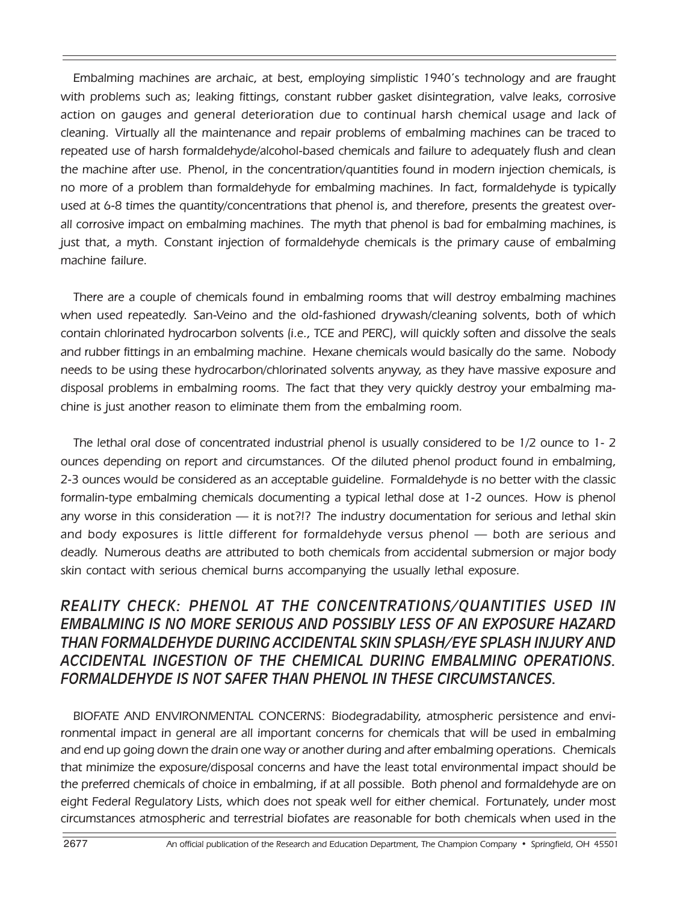Embalming machines are archaic, at best, employing simplistic 1940's technology and are fraught with problems such as; leaking fittings, constant rubber gasket disintegration, valve leaks, corrosive action on gauges and general deterioration due to continual harsh chemical usage and lack of cleaning. Virtually all the maintenance and repair problems of embalming machines can be traced to repeated use of harsh formaldehyde/alcohol-based chemicals and failure to adequately flush and clean the machine after use. Phenol, in the concentration/quantities found in modern injection chemicals, is no more of a problem than formaldehyde for embalming machines. In fact, formaldehyde is typically used at 6-8 times the quantity/concentrations that phenol is, and therefore, presents the greatest overall corrosive impact on embalming machines. The myth that phenol is bad for embalming machines, is just that, a myth. Constant injection of formaldehyde chemicals is the primary cause of embalming machine failure.

There are a couple of chemicals found in embalming rooms that will destroy embalming machines when used repeatedly. San-Veino and the old-fashioned drywash/cleaning solvents, both of which contain chlorinated hydrocarbon solvents (i.e., TCE and PERC), will quickly soften and dissolve the seals and rubber fittings in an embalming machine. Hexane chemicals would basically do the same. Nobody needs to be using these hydrocarbon/chlorinated solvents anyway, as they have massive exposure and disposal problems in embalming rooms. The fact that they very quickly destroy your embalming machine is just another reason to eliminate them from the embalming room.

The lethal oral dose of concentrated industrial phenol is usually considered to be 1/2 ounce to 1- 2 ounces depending on report and circumstances. Of the diluted phenol product found in embalming, 2-3 ounces would be considered as an acceptable guideline. Formaldehyde is no better with the classic formalin-type embalming chemicals documenting a typical lethal dose at 1-2 ounces. How is phenol any worse in this consideration — it is not?!? The industry documentation for serious and lethal skin and body exposures is little different for formaldehyde versus phenol — both are serious and deadly. Numerous deaths are attributed to both chemicals from accidental submersion or major body skin contact with serious chemical burns accompanying the usually lethal exposure.

#### *REALITY CHECK: PHENOL AT THE CONCENTRATIONS/QUANTITIES USED IN EMBALMING IS NO MORE SERIOUS AND POSSIBLY LESS OF AN EXPOSURE HAZARD THAN FORMALDEHYDE DURING ACCIDENTAL SKIN SPLASH/EYE SPLASH INJURY AND ACCIDENTAL INGESTION OF THE CHEMICAL DURING EMBALMING OPERATIONS. FORMALDEHYDE IS NOT SAFER THAN PHENOL IN THESE CIRCUMSTANCES.*

BIOFATE AND ENVIRONMENTAL CONCERNS: Biodegradability, atmospheric persistence and environmental impact in general are all important concerns for chemicals that will be used in embalming and end up going down the drain one way or another during and after embalming operations. Chemicals that minimize the exposure/disposal concerns and have the least total environmental impact should be the preferred chemicals of choice in embalming, if at all possible. Both phenol and formaldehyde are on eight Federal Regulatory Lists, which does not speak well for either chemical. Fortunately, under most circumstances atmospheric and terrestrial biofates are reasonable for both chemicals when used in the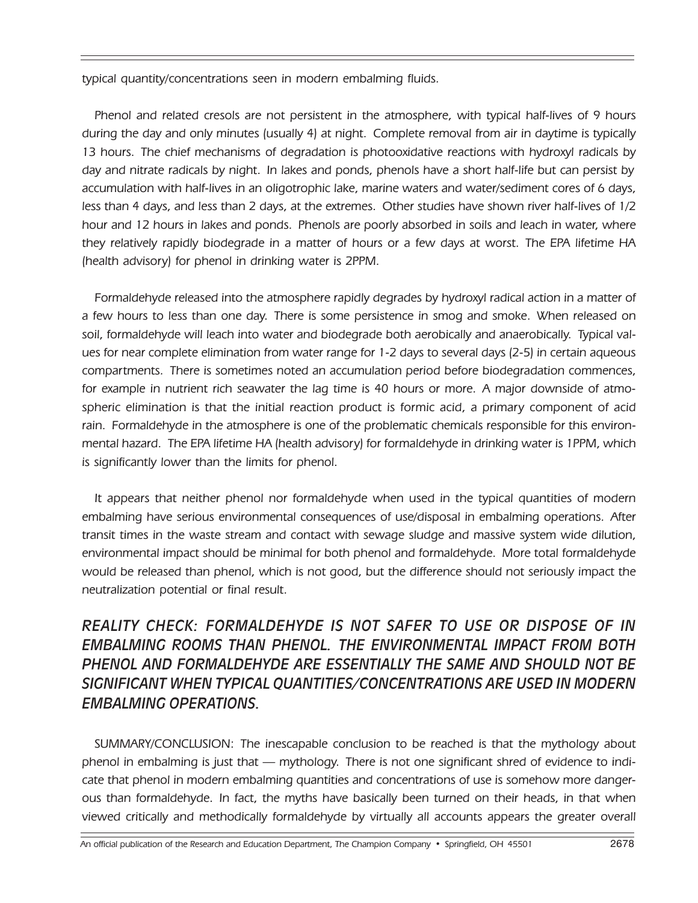typical quantity/concentrations seen in modern embalming fluids.

Phenol and related cresols are not persistent in the atmosphere, with typical half-lives of 9 hours during the day and only minutes (usually 4) at night. Complete removal from air in daytime is typically 13 hours. The chief mechanisms of degradation is photooxidative reactions with hydroxyl radicals by day and nitrate radicals by night. In lakes and ponds, phenols have a short half-life but can persist by accumulation with half-lives in an oligotrophic lake, marine waters and water/sediment cores of 6 days, less than 4 days, and less than 2 days, at the extremes. Other studies have shown river half-lives of 1/2 hour and 12 hours in lakes and ponds. Phenols are poorly absorbed in soils and leach in water, where they relatively rapidly biodegrade in a matter of hours or a few days at worst. The EPA lifetime HA (health advisory) for phenol in drinking water is 2PPM.

Formaldehyde released into the atmosphere rapidly degrades by hydroxyl radical action in a matter of a few hours to less than one day. There is some persistence in smog and smoke. When released on soil, formaldehyde will leach into water and biodegrade both aerobically and anaerobically. Typical values for near complete elimination from water range for 1-2 days to several days (2-5) in certain aqueous compartments. There is sometimes noted an accumulation period before biodegradation commences, for example in nutrient rich seawater the lag time is 40 hours or more. A major downside of atmospheric elimination is that the initial reaction product is formic acid, a primary component of acid rain. Formaldehyde in the atmosphere is one of the problematic chemicals responsible for this environmental hazard. The EPA lifetime HA (health advisory) for formaldehyde in drinking water is 1PPM, which is significantly lower than the limits for phenol.

It appears that neither phenol nor formaldehyde when used in the typical quantities of modern embalming have serious environmental consequences of use/disposal in embalming operations. After transit times in the waste stream and contact with sewage sludge and massive system wide dilution, environmental impact should be minimal for both phenol and formaldehyde. More total formaldehyde would be released than phenol, which is not good, but the difference should not seriously impact the neutralization potential or final result.

### *REALITY CHECK: FORMALDEHYDE IS NOT SAFER TO USE OR DISPOSE OF IN EMBALMING ROOMS THAN PHENOL. THE ENVIRONMENTAL IMPACT FROM BOTH PHENOL AND FORMALDEHYDE ARE ESSENTIALLY THE SAME AND SHOULD NOT BE SIGNIFICANT WHEN TYPICAL QUANTITIES/CONCENTRATIONS ARE USED IN MODERN EMBALMING OPERATIONS.*

SUMMARY/CONCLUSION: The inescapable conclusion to be reached is that the mythology about phenol in embalming is just that — mythology. There is not one significant shred of evidence to indicate that phenol in modern embalming quantities and concentrations of use is somehow more dangerous than formaldehyde. In fact, the myths have basically been turned on their heads, in that when viewed critically and methodically formaldehyde by virtually all accounts appears the greater overall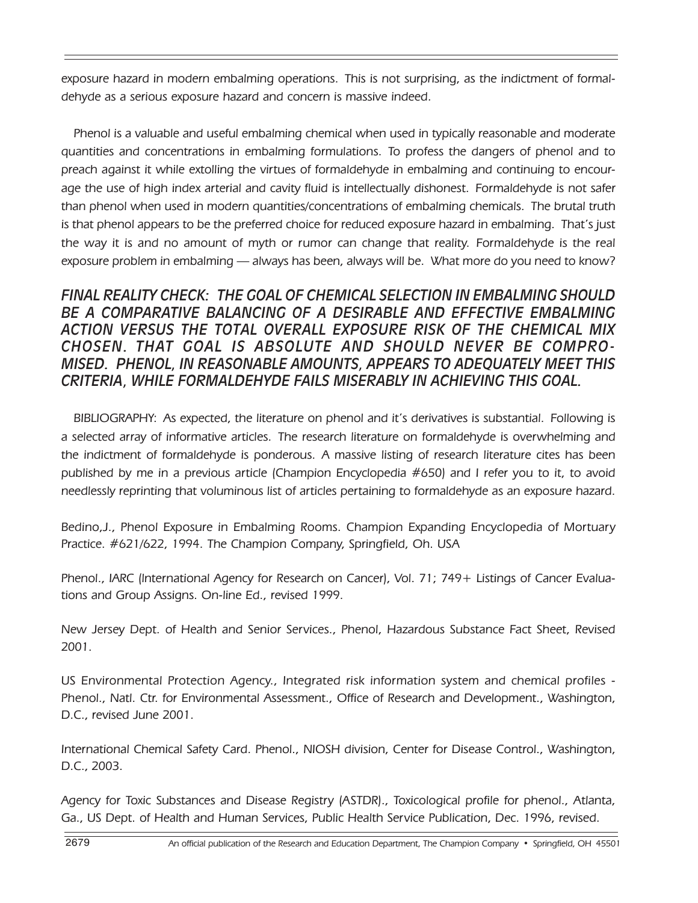exposure hazard in modern embalming operations. This is not surprising, as the indictment of formaldehyde as a serious exposure hazard and concern is massive indeed.

Phenol is a valuable and useful embalming chemical when used in typically reasonable and moderate quantities and concentrations in embalming formulations. To profess the dangers of phenol and to preach against it while extolling the virtues of formaldehyde in embalming and continuing to encourage the use of high index arterial and cavity fluid is intellectually dishonest. Formaldehyde is not safer than phenol when used in modern quantities/concentrations of embalming chemicals. The brutal truth is that phenol appears to be the preferred choice for reduced exposure hazard in embalming. That's just the way it is and no amount of myth or rumor can change that reality. Formaldehyde is the real exposure problem in embalming — always has been, always will be. What more do you need to know?

#### *FINAL REALITY CHECK: THE GOAL OF CHEMICAL SELECTION IN EMBALMING SHOULD BE A COMPARATIVE BALANCING OF A DESIRABLE AND EFFECTIVE EMBALMING ACTION VERSUS THE TOTAL OVERALL EXPOSURE RISK OF THE CHEMICAL MIX CHOSEN. THAT GOAL IS ABSOLUTE AND SHOULD NEVER BE COMPRO-MISED. PHENOL, IN REASONABLE AMOUNTS, APPEARS TO ADEQUATELY MEET THIS CRITERIA, WHILE FORMALDEHYDE FAILS MISERABLY IN ACHIEVING THIS GOAL.*

BIBLIOGRAPHY: As expected, the literature on phenol and it's derivatives is substantial. Following is a selected array of informative articles. The research literature on formaldehyde is overwhelming and the indictment of formaldehyde is ponderous. A massive listing of research literature cites has been published by me in a previous article (Champion Encyclopedia #650) and I refer you to it, to avoid needlessly reprinting that voluminous list of articles pertaining to formaldehyde as an exposure hazard.

Bedino,J., Phenol Exposure in Embalming Rooms. Champion Expanding Encyclopedia of Mortuary Practice. #621/622, 1994. The Champion Company, Springfield, Oh. USA

Phenol., IARC (lnternational Agency for Research on Cancer), Vol. 71; 749+ Listings of Cancer Evaluations and Group Assigns. On-line Ed., revised 1999.

New Jersey Dept. of Health and Senior Services., Phenol, Hazardous Substance Fact Sheet, Revised 2001.

US Environmental Protection Agency., Integrated risk information system and chemical profiles - Phenol., Natl. Ctr. for Environmental Assessment., Office of Research and Development., Washington, D.C., revised June 2001.

International Chemical Safety Card. Phenol., NIOSH division, Center for Disease Control., Washington, D.C., 2003.

Agency for Toxic Substances and Disease Registry (ASTDR)., Toxicological profile for phenol., Atlanta, Ga., US Dept. of Health and Human Services, Public Health Service Publication, Dec. 1996, revised.